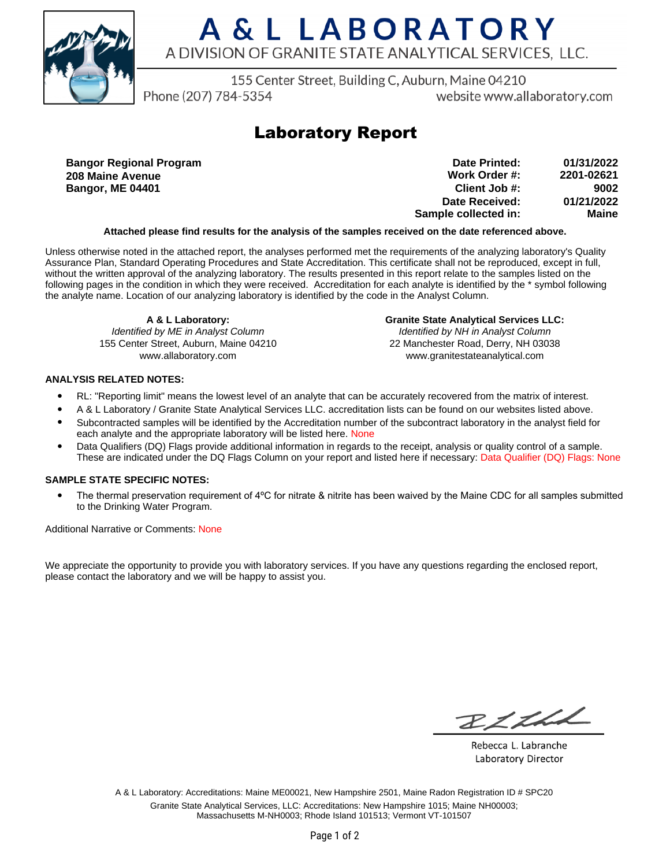

# A & L LABORATORY A DIVISION OF GRANITE STATE ANALYTICAL SERVICES. LLC.

155 Center Street, Building C, Auburn, Maine 04210

Phone (207) 784-5354

website www.allaboratory.com

## **Laboratory Report**

**Bangor Regional Program 208 Maine Avenue Bangor, ME 04401**

| Date Printed:        | 01/31/2022 |
|----------------------|------------|
| Work Order #:        | 2201-02621 |
| Client Job #:        | 9002       |
| Date Received:       | 01/21/2022 |
| Sample collected in: | Maine      |

### **Attached please find results for the analysis of the samples received on the date referenced above.**

Unless otherwise noted in the attached report, the analyses performed met the requirements of the analyzing laboratory's Quality Assurance Plan, Standard Operating Procedures and State Accreditation. This certificate shall not be reproduced, except in full, without the written approval of the analyzing laboratory. The results presented in this report relate to the samples listed on the following pages in the condition in which they were received. Accreditation for each analyte is identified by the \* symbol following the analyte name. Location of our analyzing laboratory is identified by the code in the Analyst Column.

**A & L Laboratory:** Identified by ME in Analyst Column 155 Center Street, Auburn, Maine 04210 www.allaboratory.com

**Granite State Analytical Services LLC:** Identified by NH in Analyst Column 22 Manchester Road, Derry, NH 03038 www.granitestateanalytical.com

### **ANALYSIS RELATED NOTES:**

- RL: "Reporting limit" means the lowest level of an analyte that can be accurately recovered from the matrix of interest.
- A & L Laboratory / Granite State Analytical Services LLC. accreditation lists can be found on our websites listed above.
- Subcontracted samples will be identified by the Accreditation number of the subcontract laboratory in the analyst field for each analyte and the appropriate laboratory will be listed here. None
- Data Qualifiers (DQ) Flags provide additional information in regards to the receipt, analysis or quality control of a sample. These are indicated under the DQ Flags Column on your report and listed here if necessary: Data Qualifier (DQ) Flags: None

### **SAMPLE STATE SPECIFIC NOTES:**

• The thermal preservation requirement of 4°C for nitrate & nitrite has been waived by the Maine CDC for all samples submitted to the Drinking Water Program.

Additional Narrative or Comments: None

We appreciate the opportunity to provide you with laboratory services. If you have any questions regarding the enclosed report, please contact the laboratory and we will be happy to assist you.

RICH

Rebecca L. Labranche Laboratory Director

A & L Laboratory: Accreditations: Maine ME00021, New Hampshire 2501, Maine Radon Registration ID # SPC20 Granite State Analytical Services, LLC: Accreditations: New Hampshire 1015; Maine NH00003; Massachusetts M-NH0003; Rhode Island 101513; Vermont VT-101507